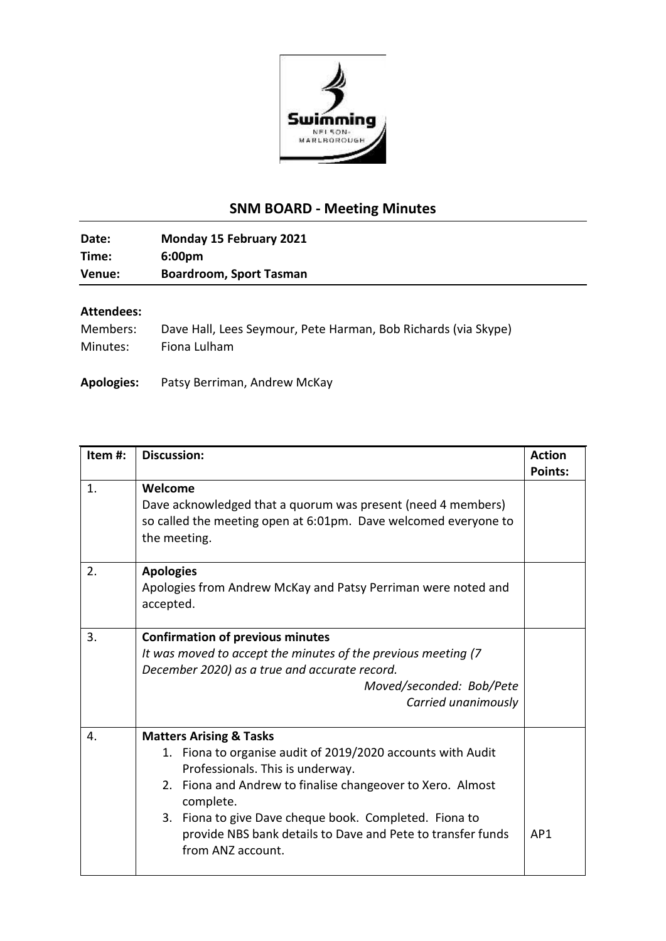

## **SNM BOARD - Meeting Minutes**

**Date: Monday 15 February 2021 Time: 6:00pm Venue: Boardroom, Sport Tasman**

## **Attendees:**

| Members: | Dave Hall, Lees Seymour, Pete Harman, Bob Richards (via Skype) |
|----------|----------------------------------------------------------------|
| Minutes: | Fiona Lulham                                                   |

**Apologies:** Patsy Berriman, Andrew McKay

| Item#:         | <b>Discussion:</b>                                                                                                                                                                                                                                                                                                                                             | <b>Action</b><br><b>Points:</b> |
|----------------|----------------------------------------------------------------------------------------------------------------------------------------------------------------------------------------------------------------------------------------------------------------------------------------------------------------------------------------------------------------|---------------------------------|
| $\mathbf{1}$ . | Welcome<br>Dave acknowledged that a quorum was present (need 4 members)<br>so called the meeting open at 6:01pm. Dave welcomed everyone to<br>the meeting.                                                                                                                                                                                                     |                                 |
| 2.             | <b>Apologies</b><br>Apologies from Andrew McKay and Patsy Perriman were noted and<br>accepted.                                                                                                                                                                                                                                                                 |                                 |
| 3.             | <b>Confirmation of previous minutes</b><br>It was moved to accept the minutes of the previous meeting (7)<br>December 2020) as a true and accurate record.<br>Moved/seconded: Bob/Pete<br>Carried unanimously                                                                                                                                                  |                                 |
| 4.             | <b>Matters Arising &amp; Tasks</b><br>1. Fiona to organise audit of 2019/2020 accounts with Audit<br>Professionals. This is underway.<br>2. Fiona and Andrew to finalise changeover to Xero. Almost<br>complete.<br>3. Fiona to give Dave cheque book. Completed. Fiona to<br>provide NBS bank details to Dave and Pete to transfer funds<br>from ANZ account. | AP1                             |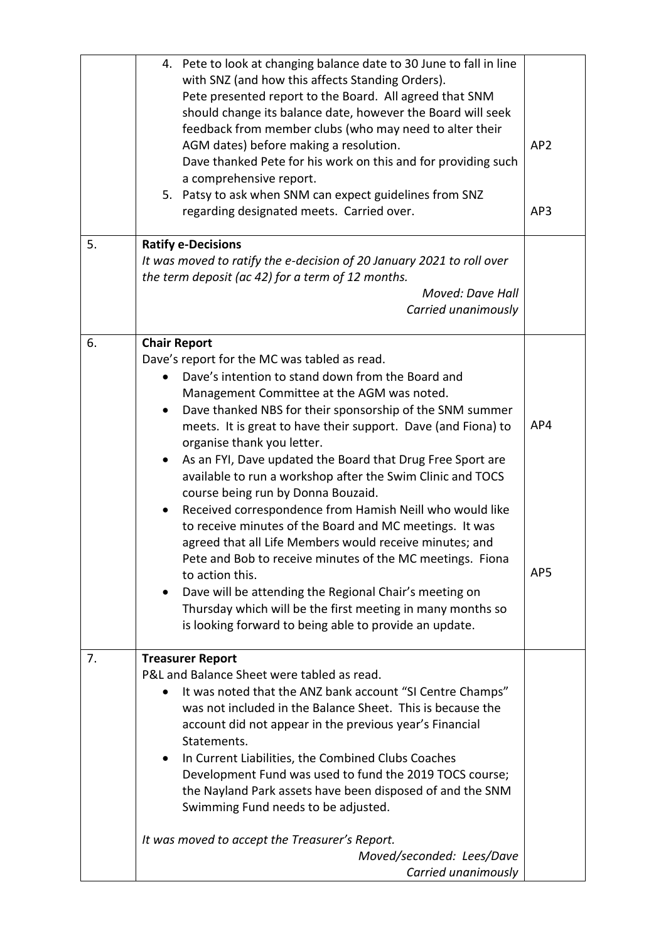|    | 4. Pete to look at changing balance date to 30 June to fall in line<br>with SNZ (and how this affects Standing Orders).<br>Pete presented report to the Board. All agreed that SNM<br>should change its balance date, however the Board will seek<br>feedback from member clubs (who may need to alter their<br>AGM dates) before making a resolution.<br>Dave thanked Pete for his work on this and for providing such<br>a comprehensive report.<br>5. Patsy to ask when SNM can expect guidelines from SNZ<br>regarding designated meets. Carried over. | AP <sub>2</sub><br>AP3 |
|----|------------------------------------------------------------------------------------------------------------------------------------------------------------------------------------------------------------------------------------------------------------------------------------------------------------------------------------------------------------------------------------------------------------------------------------------------------------------------------------------------------------------------------------------------------------|------------------------|
| 5. | <b>Ratify e-Decisions</b>                                                                                                                                                                                                                                                                                                                                                                                                                                                                                                                                  |                        |
|    | It was moved to ratify the e-decision of 20 January 2021 to roll over<br>the term deposit (ac 42) for a term of 12 months.                                                                                                                                                                                                                                                                                                                                                                                                                                 |                        |
|    | Moved: Dave Hall                                                                                                                                                                                                                                                                                                                                                                                                                                                                                                                                           |                        |
|    | Carried unanimously                                                                                                                                                                                                                                                                                                                                                                                                                                                                                                                                        |                        |
| 6. | <b>Chair Report</b>                                                                                                                                                                                                                                                                                                                                                                                                                                                                                                                                        |                        |
|    | Dave's report for the MC was tabled as read.                                                                                                                                                                                                                                                                                                                                                                                                                                                                                                               |                        |
|    | Dave's intention to stand down from the Board and                                                                                                                                                                                                                                                                                                                                                                                                                                                                                                          |                        |
|    | Management Committee at the AGM was noted.                                                                                                                                                                                                                                                                                                                                                                                                                                                                                                                 |                        |
|    | Dave thanked NBS for their sponsorship of the SNM summer<br>$\bullet$                                                                                                                                                                                                                                                                                                                                                                                                                                                                                      | AP4                    |
|    | meets. It is great to have their support. Dave (and Fiona) to<br>organise thank you letter.                                                                                                                                                                                                                                                                                                                                                                                                                                                                |                        |
|    | As an FYI, Dave updated the Board that Drug Free Sport are<br>$\bullet$                                                                                                                                                                                                                                                                                                                                                                                                                                                                                    |                        |
|    | available to run a workshop after the Swim Clinic and TOCS                                                                                                                                                                                                                                                                                                                                                                                                                                                                                                 |                        |
|    | course being run by Donna Bouzaid.                                                                                                                                                                                                                                                                                                                                                                                                                                                                                                                         |                        |
|    | Received correspondence from Hamish Neill who would like                                                                                                                                                                                                                                                                                                                                                                                                                                                                                                   |                        |
|    | to receive minutes of the Board and MC meetings. It was                                                                                                                                                                                                                                                                                                                                                                                                                                                                                                    |                        |
|    | agreed that all Life Members would receive minutes; and                                                                                                                                                                                                                                                                                                                                                                                                                                                                                                    |                        |
|    | Pete and Bob to receive minutes of the MC meetings. Fiona                                                                                                                                                                                                                                                                                                                                                                                                                                                                                                  | AP5                    |
|    | to action this.                                                                                                                                                                                                                                                                                                                                                                                                                                                                                                                                            |                        |
|    | Dave will be attending the Regional Chair's meeting on<br>٠<br>Thursday which will be the first meeting in many months so                                                                                                                                                                                                                                                                                                                                                                                                                                  |                        |
|    | is looking forward to being able to provide an update.                                                                                                                                                                                                                                                                                                                                                                                                                                                                                                     |                        |
|    |                                                                                                                                                                                                                                                                                                                                                                                                                                                                                                                                                            |                        |
| 7. | <b>Treasurer Report</b>                                                                                                                                                                                                                                                                                                                                                                                                                                                                                                                                    |                        |
|    | P&L and Balance Sheet were tabled as read.                                                                                                                                                                                                                                                                                                                                                                                                                                                                                                                 |                        |
|    | It was noted that the ANZ bank account "SI Centre Champs"                                                                                                                                                                                                                                                                                                                                                                                                                                                                                                  |                        |
|    | was not included in the Balance Sheet. This is because the                                                                                                                                                                                                                                                                                                                                                                                                                                                                                                 |                        |
|    | account did not appear in the previous year's Financial<br>Statements.                                                                                                                                                                                                                                                                                                                                                                                                                                                                                     |                        |
|    | In Current Liabilities, the Combined Clubs Coaches<br>$\bullet$                                                                                                                                                                                                                                                                                                                                                                                                                                                                                            |                        |
|    | Development Fund was used to fund the 2019 TOCS course;                                                                                                                                                                                                                                                                                                                                                                                                                                                                                                    |                        |
|    | the Nayland Park assets have been disposed of and the SNM                                                                                                                                                                                                                                                                                                                                                                                                                                                                                                  |                        |
|    | Swimming Fund needs to be adjusted.                                                                                                                                                                                                                                                                                                                                                                                                                                                                                                                        |                        |
|    | It was moved to accept the Treasurer's Report.                                                                                                                                                                                                                                                                                                                                                                                                                                                                                                             |                        |
|    | Moved/seconded: Lees/Dave                                                                                                                                                                                                                                                                                                                                                                                                                                                                                                                                  |                        |
|    | Carried unanimously                                                                                                                                                                                                                                                                                                                                                                                                                                                                                                                                        |                        |